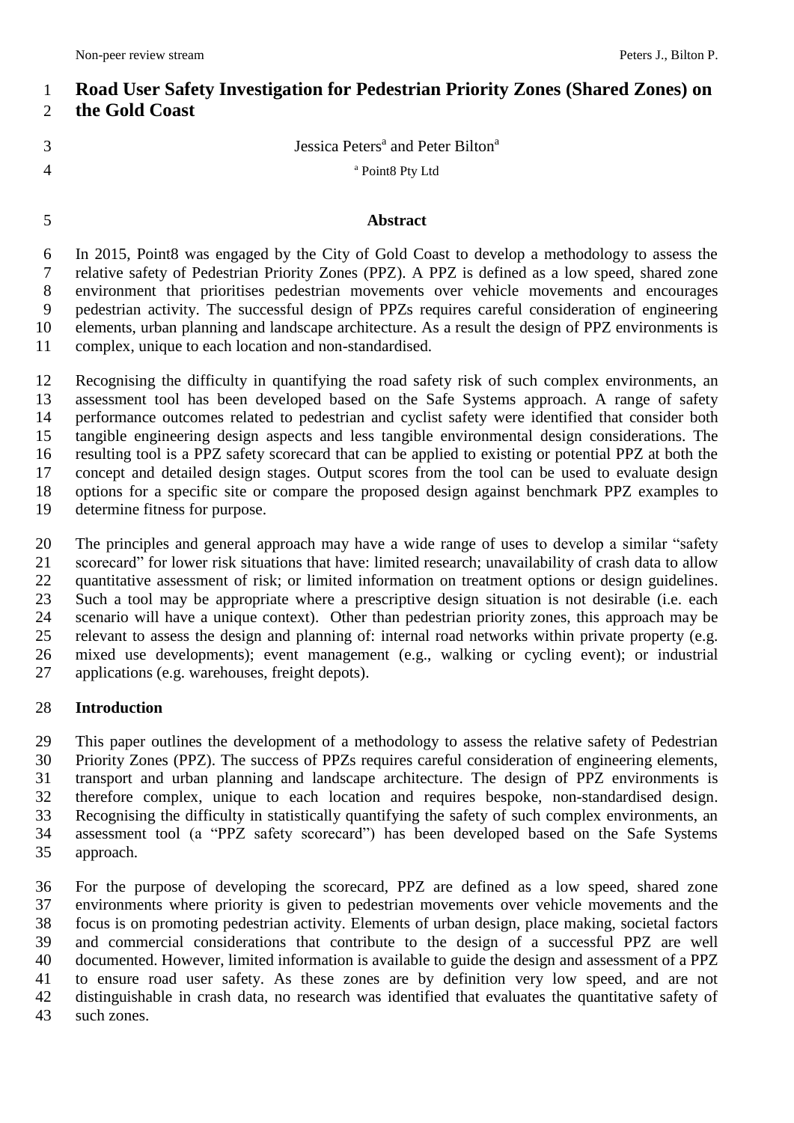# **Road User Safety Investigation for Pedestrian Priority Zones (Shared Zones) on the Gold Coast**

- Jessica Peters<sup>a</sup> and Peter Bilton<sup>a</sup>
- 

<sup>a</sup> Point8 Pty Ltd

## **Abstract**

 In 2015, Point8 was engaged by the City of Gold Coast to develop a methodology to assess the relative safety of Pedestrian Priority Zones (PPZ). A PPZ is defined as a low speed, shared zone environment that prioritises pedestrian movements over vehicle movements and encourages pedestrian activity. The successful design of PPZs requires careful consideration of engineering elements, urban planning and landscape architecture. As a result the design of PPZ environments is complex, unique to each location and non-standardised.

 Recognising the difficulty in quantifying the road safety risk of such complex environments, an assessment tool has been developed based on the Safe Systems approach. A range of safety performance outcomes related to pedestrian and cyclist safety were identified that consider both tangible engineering design aspects and less tangible environmental design considerations. The resulting tool is a PPZ safety scorecard that can be applied to existing or potential PPZ at both the concept and detailed design stages. Output scores from the tool can be used to evaluate design options for a specific site or compare the proposed design against benchmark PPZ examples to determine fitness for purpose.

 The principles and general approach may have a wide range of uses to develop a similar "safety scorecard" for lower risk situations that have: limited research; unavailability of crash data to allow quantitative assessment of risk; or limited information on treatment options or design guidelines. Such a tool may be appropriate where a prescriptive design situation is not desirable (i.e. each 24 scenario will have a unique context). Other than pedestrian priority zones, this approach may be relevant to assess the design and planning of: internal road networks within private property (e.g. relevant to assess the design and planning of: internal road networks within private property (e.g. mixed use developments); event management (e.g., walking or cycling event); or industrial applications (e.g. warehouses, freight depots).

## **Introduction**

 This paper outlines the development of a methodology to assess the relative safety of Pedestrian Priority Zones (PPZ). The success of PPZs requires careful consideration of engineering elements, transport and urban planning and landscape architecture. The design of PPZ environments is therefore complex, unique to each location and requires bespoke, non-standardised design. Recognising the difficulty in statistically quantifying the safety of such complex environments, an assessment tool (a "PPZ safety scorecard") has been developed based on the Safe Systems approach.

 For the purpose of developing the scorecard, PPZ are defined as a low speed, shared zone environments where priority is given to pedestrian movements over vehicle movements and the focus is on promoting pedestrian activity. Elements of urban design, place making, societal factors and commercial considerations that contribute to the design of a successful PPZ are well documented. However, limited information is available to guide the design and assessment of a PPZ to ensure road user safety. As these zones are by definition very low speed, and are not distinguishable in crash data, no research was identified that evaluates the quantitative safety of such zones.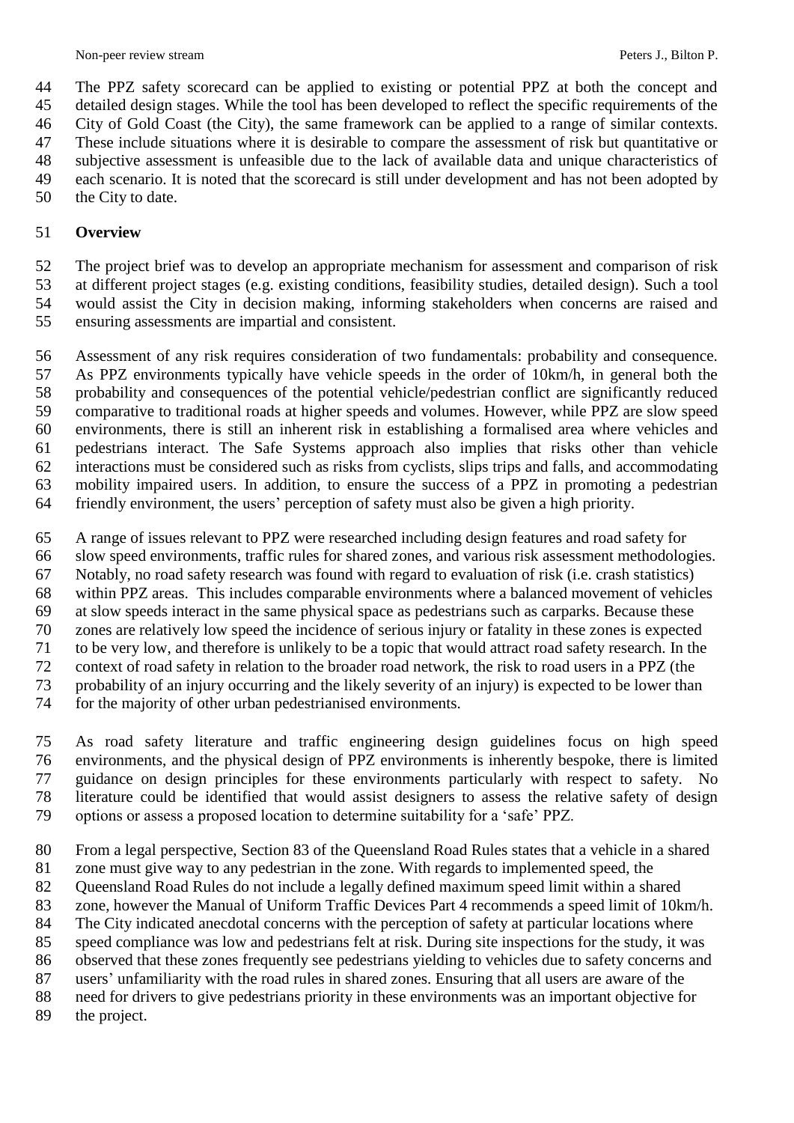The PPZ safety scorecard can be applied to existing or potential PPZ at both the concept and detailed design stages. While the tool has been developed to reflect the specific requirements of the

City of Gold Coast (the City), the same framework can be applied to a range of similar contexts.

These include situations where it is desirable to compare the assessment of risk but quantitative or

subjective assessment is unfeasible due to the lack of available data and unique characteristics of

 each scenario. It is noted that the scorecard is still under development and has not been adopted by the City to date.

## **Overview**

 The project brief was to develop an appropriate mechanism for assessment and comparison of risk at different project stages (e.g. existing conditions, feasibility studies, detailed design). Such a tool would assist the City in decision making, informing stakeholders when concerns are raised and

ensuring assessments are impartial and consistent.

 Assessment of any risk requires consideration of two fundamentals: probability and consequence. As PPZ environments typically have vehicle speeds in the order of 10km/h, in general both the probability and consequences of the potential vehicle/pedestrian conflict are significantly reduced comparative to traditional roads at higher speeds and volumes. However, while PPZ are slow speed environments, there is still an inherent risk in establishing a formalised area where vehicles and pedestrians interact. The Safe Systems approach also implies that risks other than vehicle interactions must be considered such as risks from cyclists, slips trips and falls, and accommodating mobility impaired users. In addition, to ensure the success of a PPZ in promoting a pedestrian friendly environment, the users' perception of safety must also be given a high priority.

A range of issues relevant to PPZ were researched including design features and road safety for

slow speed environments, traffic rules for shared zones, and various risk assessment methodologies.

Notably, no road safety research was found with regard to evaluation of risk (i.e. crash statistics)

within PPZ areas. This includes comparable environments where a balanced movement of vehicles

at slow speeds interact in the same physical space as pedestrians such as carparks. Because these

 zones are relatively low speed the incidence of serious injury or fatality in these zones is expected to be very low, and therefore is unlikely to be a topic that would attract road safety research. In the

context of road safety in relation to the broader road network, the risk to road users in a PPZ (the

probability of an injury occurring and the likely severity of an injury) is expected to be lower than

for the majority of other urban pedestrianised environments.

 As road safety literature and traffic engineering design guidelines focus on high speed environments, and the physical design of PPZ environments is inherently bespoke, there is limited guidance on design principles for these environments particularly with respect to safety. No literature could be identified that would assist designers to assess the relative safety of design options or assess a proposed location to determine suitability for a 'safe' PPZ.

From a legal perspective, Section 83 of the Queensland Road Rules states that a vehicle in a shared

zone must give way to any pedestrian in the zone. With regards to implemented speed, the

Queensland Road Rules do not include a legally defined maximum speed limit within a shared

zone, however the Manual of Uniform Traffic Devices Part 4 recommends a speed limit of 10km/h.

The City indicated anecdotal concerns with the perception of safety at particular locations where

speed compliance was low and pedestrians felt at risk. During site inspections for the study, it was

observed that these zones frequently see pedestrians yielding to vehicles due to safety concerns and

users' unfamiliarity with the road rules in shared zones. Ensuring that all users are aware of the

need for drivers to give pedestrians priority in these environments was an important objective for

the project.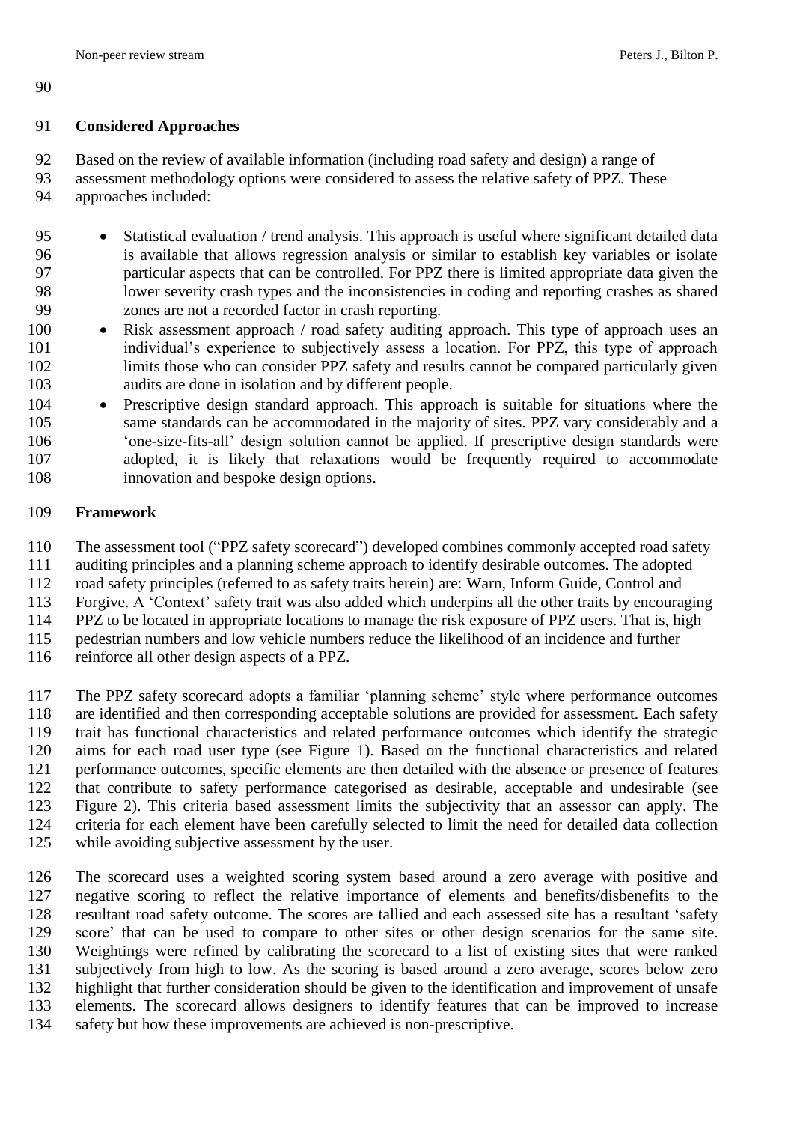### **Considered Approaches**

Based on the review of available information (including road safety and design) a range of

assessment methodology options were considered to assess the relative safety of PPZ. These

approaches included:

95 Statistical evaluation / trend analysis. This approach is useful where significant detailed data is available that allows regression analysis or similar to establish key variables or isolate particular aspects that can be controlled. For PPZ there is limited appropriate data given the lower severity crash types and the inconsistencies in coding and reporting crashes as shared zones are not a recorded factor in crash reporting.

- 100 Risk assessment approach / road safety auditing approach. This type of approach uses an individual's experience to subjectively assess a location. For PPZ, this type of approach limits those who can consider PPZ safety and results cannot be compared particularly given audits are done in isolation and by different people.
- 104 Prescriptive design standard approach. This approach is suitable for situations where the same standards can be accommodated in the majority of sites. PPZ vary considerably and a 'one-size-fits-all' design solution cannot be applied. If prescriptive design standards were adopted, it is likely that relaxations would be frequently required to accommodate innovation and bespoke design options.

## **Framework**

The assessment tool ("PPZ safety scorecard") developed combines commonly accepted road safety

auditing principles and a planning scheme approach to identify desirable outcomes. The adopted

road safety principles (referred to as safety traits herein) are: Warn, Inform Guide, Control and

Forgive. A 'Context' safety trait was also added which underpins all the other traits by encouraging

PPZ to be located in appropriate locations to manage the risk exposure of PPZ users. That is, high

pedestrian numbers and low vehicle numbers reduce the likelihood of an incidence and further

reinforce all other design aspects of a PPZ.

 The PPZ safety scorecard adopts a familiar 'planning scheme' style where performance outcomes are identified and then corresponding acceptable solutions are provided for assessment. Each safety trait has functional characteristics and related performance outcomes which identify the strategic aims for each road user type (see Figure 1). Based on the functional characteristics and related performance outcomes, specific elements are then detailed with the absence or presence of features that contribute to safety performance categorised as desirable, acceptable and undesirable (see Figure 2). This criteria based assessment limits the subjectivity that an assessor can apply. The criteria for each element have been carefully selected to limit the need for detailed data collection while avoiding subjective assessment by the user.

 The scorecard uses a weighted scoring system based around a zero average with positive and negative scoring to reflect the relative importance of elements and benefits/disbenefits to the resultant road safety outcome. The scores are tallied and each assessed site has a resultant 'safety score' that can be used to compare to other sites or other design scenarios for the same site. Weightings were refined by calibrating the scorecard to a list of existing sites that were ranked subjectively from high to low. As the scoring is based around a zero average, scores below zero highlight that further consideration should be given to the identification and improvement of unsafe elements. The scorecard allows designers to identify features that can be improved to increase

safety but how these improvements are achieved is non-prescriptive.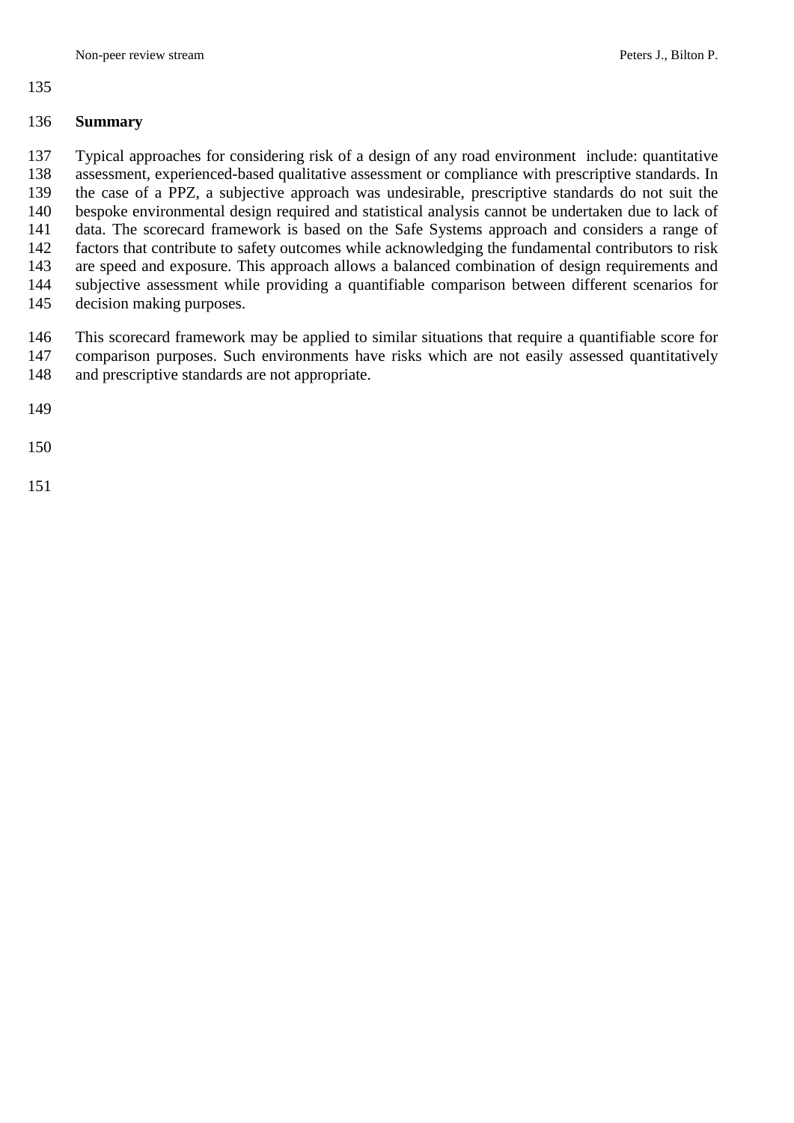#### 

#### **Summary**

 Typical approaches for considering risk of a design of any road environment include: quantitative assessment, experienced-based qualitative assessment or compliance with prescriptive standards. In the case of a PPZ, a subjective approach was undesirable, prescriptive standards do not suit the bespoke environmental design required and statistical analysis cannot be undertaken due to lack of data. The scorecard framework is based on the Safe Systems approach and considers a range of factors that contribute to safety outcomes while acknowledging the fundamental contributors to risk are speed and exposure. This approach allows a balanced combination of design requirements and subjective assessment while providing a quantifiable comparison between different scenarios for decision making purposes.

 This scorecard framework may be applied to similar situations that require a quantifiable score for comparison purposes. Such environments have risks which are not easily assessed quantitatively and prescriptive standards are not appropriate.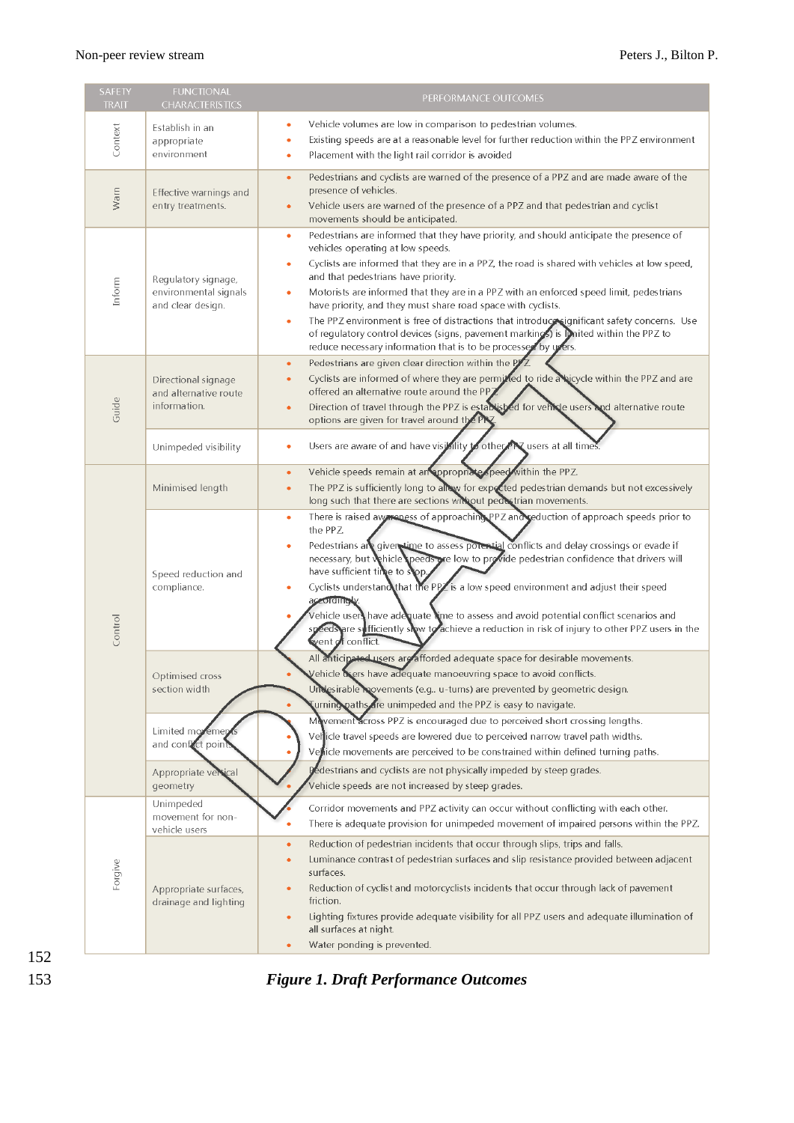Î.

| SAFETY<br><b>TRAIT</b> | <b>FUNCTIONAL</b><br><b>CHARACTERISTICS</b>                       | PERFORMANCE OUTCOMES                                                                                                                                                                                                                                                                                                                                                                                                                                                                                                                                                                                                                                                                                                |  |  |  |
|------------------------|-------------------------------------------------------------------|---------------------------------------------------------------------------------------------------------------------------------------------------------------------------------------------------------------------------------------------------------------------------------------------------------------------------------------------------------------------------------------------------------------------------------------------------------------------------------------------------------------------------------------------------------------------------------------------------------------------------------------------------------------------------------------------------------------------|--|--|--|
| Context                | Establish in an<br>appropriate<br>environment                     | Vehicle volumes are low in comparison to pedestrian volumes.<br>$\bullet$<br>Existing speeds are at a reasonable level for further reduction within the PPZ environment<br>۰<br>Placement with the light rail corridor is avoided<br>۰                                                                                                                                                                                                                                                                                                                                                                                                                                                                              |  |  |  |
| Warn                   | Effective warnings and<br>entry treatments.                       | Pedestrians and cyclists are warned of the presence of a PPZ and are made aware of the<br>$\bullet$<br>presence of vehicles.<br>Vehicle users are warned of the presence of a PPZ and that pedestrian and cyclist<br>۰<br>movements should be anticipated.                                                                                                                                                                                                                                                                                                                                                                                                                                                          |  |  |  |
| Inform                 | Regulatory signage,<br>environmental signals<br>and clear design. | Pedestrians are informed that they have priority, and should anticipate the presence of<br>$\bullet$<br>vehicles operating at low speeds.<br>Cyclists are informed that they are in a PPZ, the road is shared with vehicles at low speed,<br>۰<br>and that pedestrians have priority.<br>Motorists are informed that they are in a PPZ with an enforced speed limit, pedestrians<br>۰<br>have priority, and they must share road space with cyclists.<br>The PPZ environment is free of distractions that introduce significant safety concerns. Use<br>۰<br>of regulatory control devices (signs, pavement markings) is united within the PPZ to<br>reduce necessary information that is to be processed by users. |  |  |  |
| Guide                  | Directional signage<br>and alternative route<br>information.      | Pedestrians are given clear direction within the PJ<br>$\bullet$<br>Cyclists are informed of where they are permined to ride a bicycle within the PPZ and are<br>٠<br>offered an alternative route around the PPJ<br>Direction of travel through the PPZ is established for vehicle users and alternative route<br>$\bullet$<br>options are given for travel around the PRZ                                                                                                                                                                                                                                                                                                                                         |  |  |  |
|                        | Unimpeded visibility                                              | Users are aware of and have visibility to other PR users at all times.<br>۰                                                                                                                                                                                                                                                                                                                                                                                                                                                                                                                                                                                                                                         |  |  |  |
| Control                | Minimised length                                                  | Vehicle speeds remain at an appropriate speed within the PPZ.<br>٠<br>The PPZ is sufficiently long to allow for expected pedestrian demands but not excessively<br>ò<br>long such that there are sections without pedestrian movements.                                                                                                                                                                                                                                                                                                                                                                                                                                                                             |  |  |  |
|                        | Speed reduction and<br>compliance.                                | There is raised awareness of approaching PPZ and reduction of approach speeds prior to<br>۰<br>the PPZ<br>Pedestrians are given time to assess potential conflicts and delay crossings or evade if<br>۰<br>necessary, but vehicle peeds ore low to provide pedestrian confidence that drivers will<br>have sufficient time to stop.<br>Cyclists understand that the PPZ is a low speed environment and adjust their speed<br>۰<br>according v<br>Vehicle users have adequate time to assess and avoid potential conflict scenarios and<br>speeds are sufficiently slow to achieve a reduction in risk of injury to other PPZ users in the<br>went of conflict.                                                      |  |  |  |
|                        | Optimised cross<br>section width                                  | All anticipated users are afforded adequate space for desirable movements.<br>Vehicle beers have adequate manoeuvring space to avoid conflicts.<br>Undesirable covements (e.g u-turns) are prevented by geometric design.<br>Curning paths are unimpeded and the PPZ is easy to navigate.<br>$\bullet$                                                                                                                                                                                                                                                                                                                                                                                                              |  |  |  |
|                        | Limited movemen<br>and conflict points                            | Movement across PPZ is encouraged due to perceived short crossing lengths.<br>Vericle travel speeds are lowered due to perceived narrow travel path widths.<br>Vehicle movements are perceived to be constrained within defined turning paths.                                                                                                                                                                                                                                                                                                                                                                                                                                                                      |  |  |  |
|                        | Appropriate versical<br>geometry                                  | Dedestrians and cyclists are not physically impeded by steep grades.<br>Vehicle speeds are not increased by steep grades.                                                                                                                                                                                                                                                                                                                                                                                                                                                                                                                                                                                           |  |  |  |
| Forgive                | Unimpeded<br>movement for non-<br>vehicle users                   | Corridor movements and PPZ activity can occur without conflicting with each other.<br>There is adequate provision for unimpeded movement of impaired persons within the PPZ.                                                                                                                                                                                                                                                                                                                                                                                                                                                                                                                                        |  |  |  |
|                        | Appropriate surfaces,<br>drainage and lighting                    | Reduction of pedestrian incidents that occur through slips, trips and falls.<br>ò<br>Luminance contrast of pedestrian surfaces and slip resistance provided between adjacent<br>۰<br>surfaces.<br>Reduction of cyclist and motorcyclists incidents that occur through lack of pavement<br>۰<br>friction.<br>Lighting fixtures provide adequate visibility for all PPZ users and adequate illumination of<br>$\bullet$<br>all surfaces at night.<br>Water ponding is prevented.<br>۰                                                                                                                                                                                                                                 |  |  |  |

153 *Figure 1. Draft Performance Outcomes*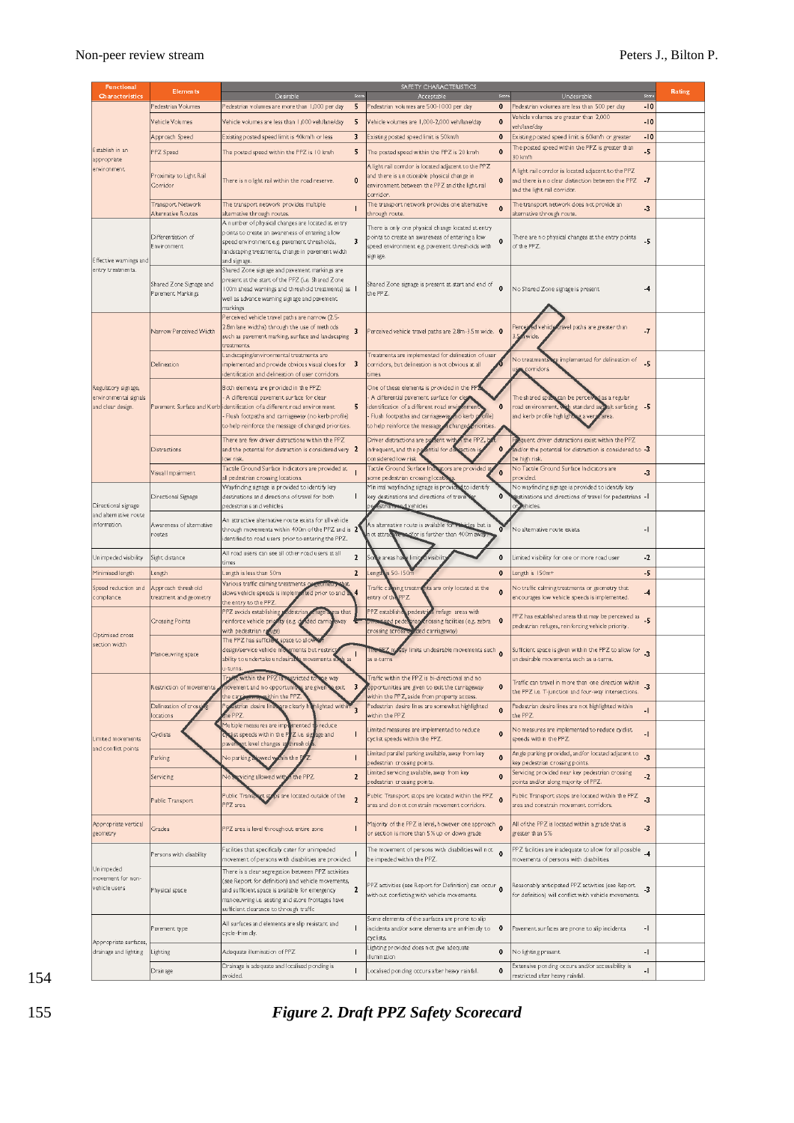| <b>Functional</b>                                                 | <b>Elements</b>                              |                                                                                                                                                                                                                                                                                     |      | SAFETY CHARACTERISTICS<br>Score                                                                                                                                                                                                                          |                                                                                                                                                               |                          | Rating |
|-------------------------------------------------------------------|----------------------------------------------|-------------------------------------------------------------------------------------------------------------------------------------------------------------------------------------------------------------------------------------------------------------------------------------|------|----------------------------------------------------------------------------------------------------------------------------------------------------------------------------------------------------------------------------------------------------------|---------------------------------------------------------------------------------------------------------------------------------------------------------------|--------------------------|--------|
| Characteristics<br>Establish in an<br>appropriate<br>environment  | Pedestrian Volumes                           | Desirable<br>Pedestrian volumes are more than 1,000 per day<br>5                                                                                                                                                                                                                    | Scon | Acceptable<br>Pedestrian volumes are 500-1000 per day<br>0                                                                                                                                                                                               | Undesirable<br>Pedestrian volumes are less than 500 per day                                                                                                   | $-10$                    |        |
|                                                                   | Vehicle Volumes                              | 5<br>Vehicle volumes are less than 1,000 veh/lane/day                                                                                                                                                                                                                               |      | $\mathbf 0$<br>Vehicle volumes are 1,000-2,000 veh/lane/day                                                                                                                                                                                              | Vehicle volumes are greater than 2,000                                                                                                                        | $-10$                    |        |
|                                                                   | Approach Speed                               | 3<br>Existing posted speed limit is 40km/h or less                                                                                                                                                                                                                                  |      | $\mathbf 0$<br>Existing posted speed limit is 50km/h                                                                                                                                                                                                     | veh/lan e/day<br>Existing posted speed limit is 60km/h or greater                                                                                             | $-10$                    |        |
|                                                                   | PPZ Speed                                    | 5<br>The posted speed within the PPZ is 10 km/h                                                                                                                                                                                                                                     |      | $\mathbf 0$<br>The posted speed within the PPZ is 20 km/h                                                                                                                                                                                                | The posted speed within the PPZ is greater than                                                                                                               | -5                       |        |
|                                                                   | Proximity to Light Rail                      | $\mathbf{0}$<br>There is no light rail within the road reserve.                                                                                                                                                                                                                     |      | A light rail corrdor is located adjacent to the PPZ<br>and there is a noticeable physical change in<br>$\mathbf 0$                                                                                                                                       | 30 km/h<br>A light rail corrdor is located adjacent to the PPZ<br>and there is no clear distinction between the PPZ $-7$                                      |                          |        |
|                                                                   | Corridor<br><b>Transport Network</b>         | The transport network provides multiple                                                                                                                                                                                                                                             |      | environment between the PPZ and the light rail<br>corridor.<br>The transport network provides one alternative                                                                                                                                            | and the light rail corridor.<br>The transport network does not provide an                                                                                     |                          |        |
|                                                                   | Alternative Routes                           | $\mathbf{I}$<br>alternative through routes.                                                                                                                                                                                                                                         |      | $\mathbf 0$<br>through route.                                                                                                                                                                                                                            | alternative through noute.                                                                                                                                    | $\cdot$ <sub>3</sub>     |        |
| Effective warnings and<br>entry treatments.                       | Differentiation of<br>Environment            | A number of physical changes are located at entry<br>points to create an awareness of entering a low<br>3<br>speed environment e.g. pavement thresholds,<br>landscaping treatments, change in pavement width<br>and signage.                                                        |      | There is only one physical change located at entry<br>points to create an awareness of entering a low<br>0<br>speed environment e.g. pavement thresholds with<br>signage.                                                                                | There are no physical changes at the entry points<br>of the PPZ.                                                                                              | $-5$                     |        |
|                                                                   | Shared Zone Signage and<br>Pavement Markings | Shared Zone signage and pavement markings are<br>present at the start of the PPZ (i.e. Shared Zone<br>100m ahead warnings and threshold treatments) as 1<br>well as advance warning signage and pavement.<br>markings                                                               |      | Shared Zone signage is present at start and end of<br>$\mathbf 0$<br>the PPZ.                                                                                                                                                                            | No Shared Zone signage is present                                                                                                                             | -4                       |        |
| Regulatory signage,<br>environmental signals<br>and clear design. | Narrow Perceived Width                       | Perceived vehicle travel paths are narrow (2.5-<br>2.8m lane widths) through the use of methods<br>3<br>such as pavement marking, surface and landscaping<br>treatments                                                                                                             |      | Perceived vehicle travel paths are 2.8m-3.5m wide. $\,$ 0 $\,$<br>Treatments are implemented for delineation of user                                                                                                                                     | Percei<br>ed vehicl<br>ravel paths are greater than<br>wide.                                                                                                  | $\overline{I}$           |        |
|                                                                   | Delineation                                  | Lan dscaping/environmental treatments are<br>implemented and provide obvious visual clues for $\,$ 3 $\,$<br>identification and delineation of user corridors.                                                                                                                      |      | corridors, but delineation is not obvious at all<br>times.                                                                                                                                                                                               | re implemented for delineation of<br><b>No treatments</b><br>corridors.                                                                                       | $-5$                     |        |
|                                                                   |                                              | Both elements are provided in the PPZ:<br>A differential pavement surface for clear<br>5<br>Pavement. Surface and K erb identification of a different road environment<br>Flush footpaths and carriageway (no kerb profile)<br>to help reinforce the message of changed priorities. |      | One of these elements is provided in the P<br>A differential pavement surface for clea<br>0<br>identification of a different road envi<br>Flush footpaths and carriageway in o kerb<br>ofile)<br>to help reinforce the message<br>f changed<br>riorities | The shared space can be perceive<br>d as a regular<br>road environment, with standard aspealt surfacing -5<br>and kerb profile highlight<br>g a vers<br>area. |                          |        |
|                                                                   | Distractions                                 | There are few driver distractions within the PPZ<br>and the potential for distraction is considered very $2$<br>low risk.                                                                                                                                                           |      | the PPZ, b<br>Driver distractions are present with<br>$\mathbf 0$<br>in frequent, and the posential for di<br>action<br>considered low risk                                                                                                              | equent driver distractions exist within the PPZ<br>in $d'$ or the potential for distraction is considered to $-3$<br>be high risk.                            |                          |        |
|                                                                   | Visual Impairment                            | Tactile Ground Surface Indicators are provided at<br>all pedestrian crossing locations.                                                                                                                                                                                             |      | Tactile Ground Surface Indicators are provided at<br>$\mathbf{o}$<br>some pedestrian crossing locati                                                                                                                                                     | No Tactile Ground Surface Indicators are<br>provided.                                                                                                         | -3                       |        |
| Directional signage<br>and alternative route<br>information.      | Directional Signage                          | Wayfinding signage is provided to identify key<br>destinations and directions of travel for both<br>$\mathbf{I}$<br>pedestrians and vehicles                                                                                                                                        |      | Minimal wayfinding signage is provid<br>d to identify<br>0<br>key destinations and directions of travel<br>estrians od vehicles                                                                                                                          | No wayfinding signage is provided to identify key<br>gstinations and directions of travel for pedestrians - I<br>ehicles.                                     |                          |        |
|                                                                   | Awaren ess of altern ative<br>coutes         | An attractive alternative noute exists for all vehicle<br>through movements within 400m of the PPZ and is $2$<br>identified to road users prior to entering the PPZ.                                                                                                                |      | An alternative noute is available for vehicles but is<br>o<br>d/or is further than 400m away<br>ot attractive                                                                                                                                            | No alternative noute exists.                                                                                                                                  | -1                       |        |
| Unimpeded visibility                                              | Sight distance                               | All road users can see all other road users at all<br>$\mathbf{2}$<br>times                                                                                                                                                                                                         |      | 0<br>areas ha<br>visibili<br>limi                                                                                                                                                                                                                        | Limited visibility for one or more road user                                                                                                                  | -2                       |        |
| Minimised length                                                  | ength                                        | $\mathbf{2}$<br>Length is less than 50m                                                                                                                                                                                                                                             |      | $s 50 - 150m$<br>$\mathbf 0$<br>Lengtf                                                                                                                                                                                                                   | Length is 150m+                                                                                                                                               | -5                       |        |
| Speed reduction and<br>compliance.                                | Approach threshold<br>treatment and geometry | Various traffic calming treatments<br>slows vehicle speeds is implemented prior to and<br>the entry to the PPZ.                                                                                                                                                                     |      | hts are only located at the<br>Traffic ca<br>ing treatm<br>$\mathbf{0}$<br>entry of th<br>PPZ.                                                                                                                                                           | No traffic calming treatments or geometry that<br>encourages low vehicle speeds is implemented.                                                               | $-4$                     |        |
| Optimised cross<br>section width                                  | Crossing Points                              | PPZ avoids establishing<br>edestrian enuge a eas that<br>reinforce vehicle priority (e.g. de Ided carria<br>eway<br>with pedestrian reluge)                                                                                                                                         |      | PPZ establish<br>ri refuge areas with<br>pedestrid<br>cossing facilities (e.g. zebra 0<br>ed pedi<br>crossing across<br>led carriageway)                                                                                                                 | PPZ has established areas that may be perceived as<br>pedestrian refuges, reinforcing vehicle priority.                                                       | $-5$                     |        |
|                                                                   | Manoeu vring space                           | The PPZ has sufficient space to allow<br>design/service vehicle mo<br>ements but restrict<br>ability to undertake undesirable movements sur<br>u-turns                                                                                                                              |      | stly limits undesirable movements such 0<br>as u-turns                                                                                                                                                                                                   | Sufficient space is given within the PPZ to allow for $\frac{1}{3}$<br>un desirable movements such as u-turns.                                                |                          |        |
| Limited movements<br>and conflict points                          | Restriction of movements,                    | within the PP2<br>movement and no opportunities are given<br>exit 3<br><b>Council</b> the PPZ.<br>the card                                                                                                                                                                          |      | Traffic within the PPZ is bi-directional and no-<br>opportunities are given to exit the carriageway<br>0<br>within the PPZ, aside from property access.                                                                                                  | Traffic can travel in more than one direction within<br>the PPZ i.e. T-junction and four-way intersections.                                                   | $-3$                     |        |
|                                                                   | Delineation of cross<br>ocation s            | in lighted within<br>estrian desire lines are clearly h<br>e PPZ                                                                                                                                                                                                                    |      | Pedestrian desire lines are somewhat highlighted<br>$\pmb{0}$<br>within the PPZ                                                                                                                                                                          | Pedestrian desire lines are not highlighted within<br>the PPZ.                                                                                                | 4                        |        |
|                                                                   | Cyclists                                     | Multiple measures are imp<br>emented to reduce<br>$\mathbf{I}$<br>ist speeds within the PPZ i.e. signage and<br>t level changes ap<br>hresho<br><b>Daven</b>                                                                                                                        |      | Limited measures are implemented to reduce<br>$\mathbf 0$<br>cyclist speeds within the PPZ.                                                                                                                                                              | No measures are implemented to reduce cyclist<br>speeds within the PPZ.                                                                                       | $-1$                     |        |
|                                                                   | Parking                                      | $\mathbf{I}$<br>√o parking<br>wed w<br>in the E                                                                                                                                                                                                                                     |      | Limited parallel parking available, away from key<br>0<br>pedestrian crossing points.                                                                                                                                                                    | Angle parking provided, and/or located adjacent to<br>key pedestrian crossing points.                                                                         | $\overline{3}$           |        |
|                                                                   | Servicing                                    | $\mathbf{2}$<br>vicing allowed with<br>the PPZ.                                                                                                                                                                                                                                     |      | imited servicing available, away from key.<br>$\mathbf{0}$<br>pedestrian crossing points.                                                                                                                                                                | Servicing provided near key pedestrian crossing<br>points and/or along majority of PPZ.                                                                       | $\overline{2}$           |        |
|                                                                   | Public Transport                             | are located outside of the<br>Public Trans<br>$\overline{a}$<br>PPZ area.                                                                                                                                                                                                           |      | Public Transport stops are located within the PPZ<br>$\mathbf{0}$<br>area and do not constrain movement corridors.                                                                                                                                       | Public Transport stops are located within the PPZ<br>area and constrain movement corridors.                                                                   | $\sim$                   |        |
| Appropriate vertical<br>geometry                                  | Grades                                       | $\mathsf{I}$<br>PPZ area is level throughout entire zone                                                                                                                                                                                                                            |      | Majority of the PPZ is level, however one approach 0<br>or section is more than 5% up or down grade                                                                                                                                                      | All of the PPZ is located within a grade that is<br>greater than 5%                                                                                           | -3                       |        |
| Unimpeded<br>movement for non-<br>vehicle users                   | Persons with disability                      | Facilities that specifically cater for unimpeded<br>movement of persons with disabilities are provided.                                                                                                                                                                             |      | The movement of persons with disabilities will not $\overline{\mathbf{0}}$<br>be impeded within the PPZ.                                                                                                                                                 | PPZ facilities are inadequate to allow for all possible _4<br>movements of persons with disabilities.                                                         |                          |        |
|                                                                   | Physical space                               | There is a clear segregation between PPZ activities<br>(see Report for definition) and vehicle movements,<br>and sufficient space is available for emergency<br>$\mathbf{2}$<br>manoeuvring i.e. seating and store frontages have<br>sufficient clearance to through traffic        |      | PPZ activities (see Report for Definition) can occur<br>without conflicting with vehicle movements.                                                                                                                                                      | Reasonably anticipated PPZ activities (see Report<br>for definition) will conflict with vehicle movements.                                                    | $-3$                     |        |
| Appropriate surfaces,<br>drainage and lighting                    | Pavement type                                | All surfaces and elements are slip resistant and<br>$\mathbf{I}$<br>cycle-frien dly.                                                                                                                                                                                                |      | Some elements of the surfaces are prone to slip<br>incidents and/or some elements are unfriendly to $\quad$ 0 $\,$<br>cyclists.                                                                                                                          | Pavement surfaces are prone to slip incidents                                                                                                                 | -1                       |        |
|                                                                   | Lighting                                     | $\mathbf{I}$<br>Adequate illumination of PPZ                                                                                                                                                                                                                                        |      | ighting provided does not give adequate.<br>$\mathbf 0$<br>Ilumination                                                                                                                                                                                   | No lighting present.                                                                                                                                          | $\overline{\phantom{a}}$ |        |
|                                                                   | <b>Drainage</b>                              | Drainage is adequate and localised ponding is<br>$\mathsf{I}$<br>avoided.                                                                                                                                                                                                           |      | 0<br>Localised ponding occurs after heavy rainfall.                                                                                                                                                                                                      | Extensive ponding occurs and/or accessibility is<br>restricted after heavy rainfall.                                                                          | -1                       |        |

*Figure 2. Draft PPZ Safety Scorecard*